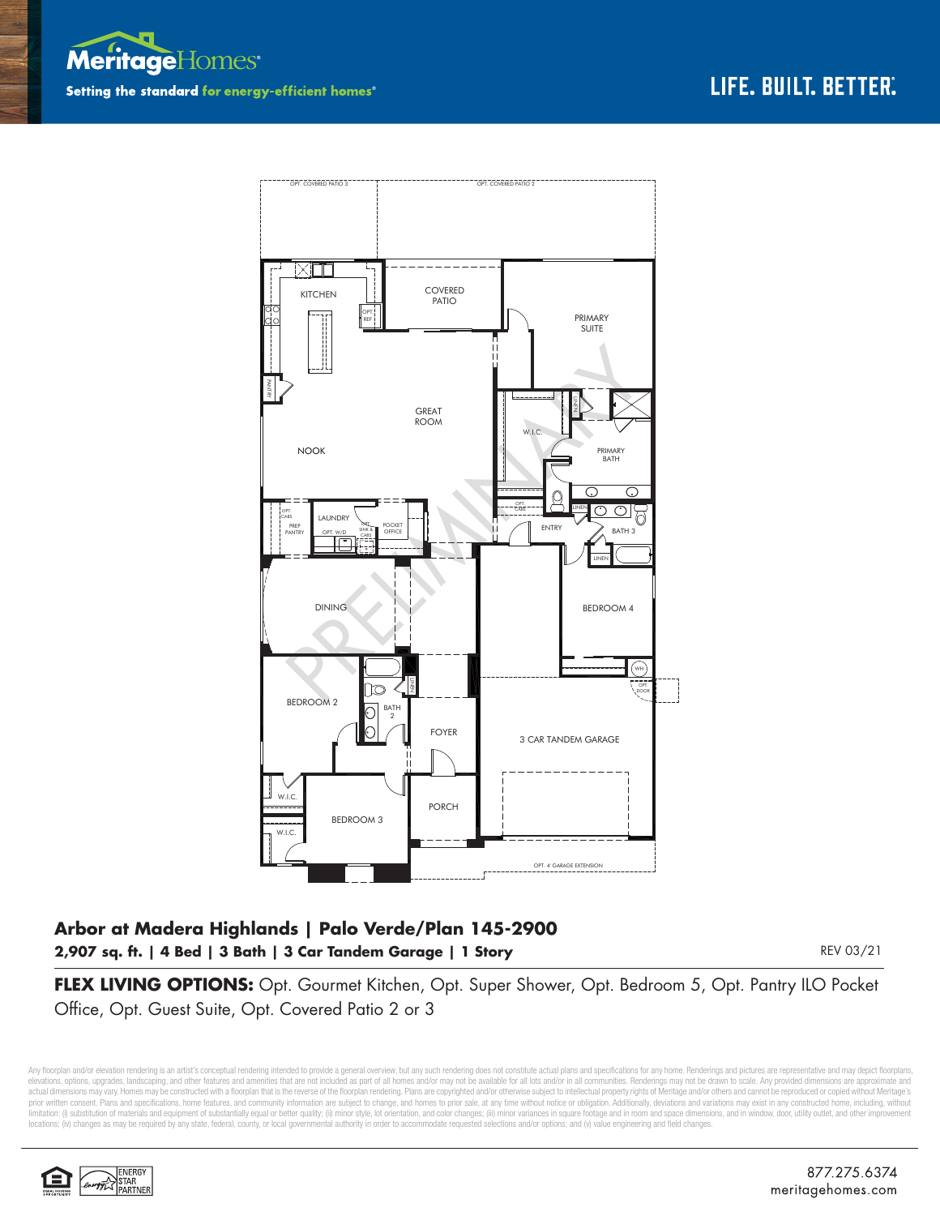



## **Arbor at Madera Highlands | Palo Verde/Plan 145-2900 2,907 sq. ft. | 4 Bed | 3 Bath | 3 Car Tandem Garage | 1 Story**

REV 03/21

**FLEX LIVING OPTIONS:** Opt. Gourmet Kitchen, Opt. Super Shower, Opt. Bedroom 5, Opt. Pantry ILO Pocket Office, Opt. Guest Suite, Opt. Covered Patio 2 or 3

Any floorplan and/or elevation rendering is an artist's conceptual rendering intended to provide a general overview, but any such rendering does not constitute actual plans and specifications for any home. Renderings and p elevations, opions, upgrades, landscaping, and other features and amenities that are not included as part of all homes and/or may not be available for all lots and/or in all communities. Renderings may not be drawn to scal prior written consent. Plans and specifications, home features, and community information are subject to change, and homes to prior sale, at any time without notice or obligation. Additionally, deviations and variations ma limitation: (i) substitution of materials and equipment of substantially equal or better quality; (ii) minor style, lot orientation, and color changes; (iii) minor variances in square footage and in room and space dimensio locations; (iv) changes as may be required by any state, federal, county, or local governmental authority in order to accommodate requested selections and/or options; and (v) value engineering and field changes.

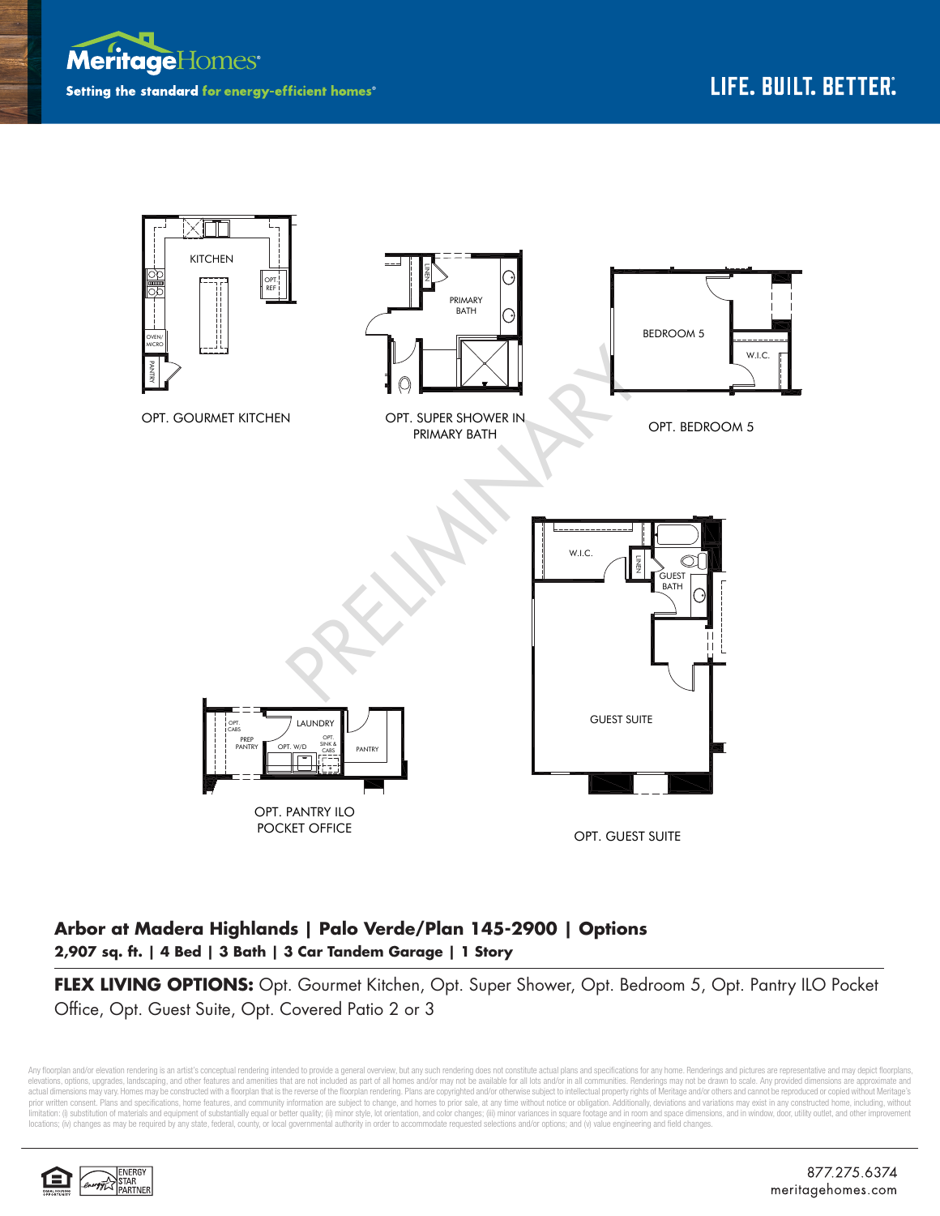



## **Arbor at Madera Highlands | Palo Verde/Plan 145-2900 | Options 2,907 sq. ft. | 4 Bed | 3 Bath | 3 Car Tandem Garage | 1 Story**

**FLEX LIVING OPTIONS:** Opt. Gourmet Kitchen, Opt. Super Shower, Opt. Bedroom 5, Opt. Pantry ILO Pocket Office, Opt. Guest Suite, Opt. Covered Patio 2 or 3

Any floorplan and/or elevation rendering is an artist's conceptual rendering intended to provide a general overview, but any such rendering does not constitute actual plans and specifications for any home. Renderings and p elevations, options, upgrades, landscaping, and other features and amenities that are not included as part of all homes and/or may not be available for all lots and/or in all communities. Renderings may not be drawn to sca limitation: (i) substitution of materials and equipment of substantially equal or better quality; (ii) minor style, lot orientation, and color changes; (iii) minor variances in square footage and in room and space dimensio locations; (iv) changes as may be required by any state, federal, county, or local governmental authority in order to accommodate requested selections and/or options; and (v) value engineering and field changes.